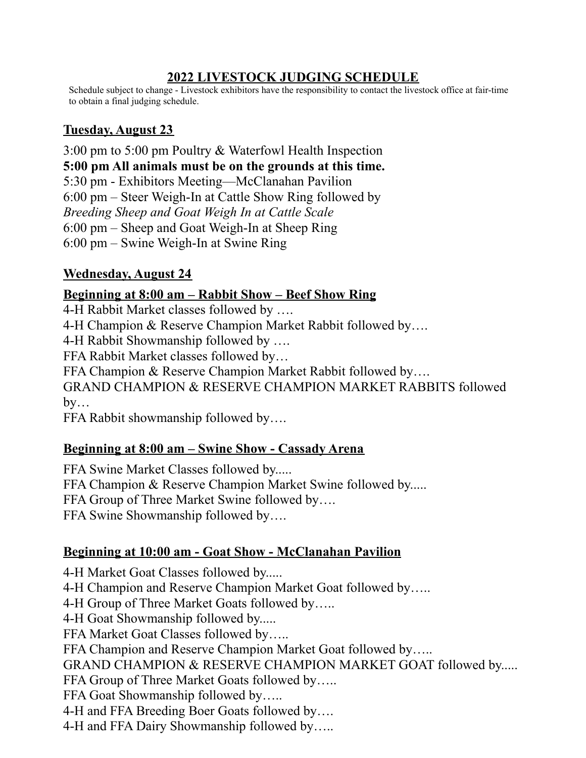## **2022 LIVESTOCK JUDGING SCHEDULE**

Schedule subject to change - Livestock exhibitors have the responsibility to contact the livestock office at fair-time to obtain a final judging schedule.

## **Tuesday, August 23**

3:00 pm to 5:00 pm Poultry & Waterfowl Health Inspection **5:00 pm All animals must be on the grounds at this time.** 5:30 pm - Exhibitors Meeting—McClanahan Pavilion 6:00 pm – Steer Weigh-In at Cattle Show Ring followed by *Breeding Sheep and Goat Weigh In at Cattle Scale* 6:00 pm – Sheep and Goat Weigh-In at Sheep Ring 6:00 pm – Swine Weigh-In at Swine Ring

## **Wednesday, August 24**

#### **Beginning at 8:00 am – Rabbit Show – Beef Show Ring**

4-H Rabbit Market classes followed by …. 4-H Champion & Reserve Champion Market Rabbit followed by…. 4-H Rabbit Showmanship followed by …. FFA Rabbit Market classes followed by… FFA Champion & Reserve Champion Market Rabbit followed by…. GRAND CHAMPION & RESERVE CHAMPION MARKET RABBITS followed  $by...$ 

FFA Rabbit showmanship followed by….

## **Beginning at 8:00 am – Swine Show - Cassady Arena**

FFA Swine Market Classes followed by..... FFA Champion & Reserve Champion Market Swine followed by..... FFA Group of Three Market Swine followed by…. FFA Swine Showmanship followed by….

## **Beginning at 10:00 am - Goat Show - McClanahan Pavilion**

4-H Market Goat Classes followed by..... 4-H Champion and Reserve Champion Market Goat followed by….. 4-H Group of Three Market Goats followed by….. 4-H Goat Showmanship followed by..... FFA Market Goat Classes followed by….. FFA Champion and Reserve Champion Market Goat followed by….. GRAND CHAMPION & RESERVE CHAMPION MARKET GOAT followed by..... FFA Group of Three Market Goats followed by..... FFA Goat Showmanship followed by….. 4-H and FFA Breeding Boer Goats followed by…. 4-H and FFA Dairy Showmanship followed by…..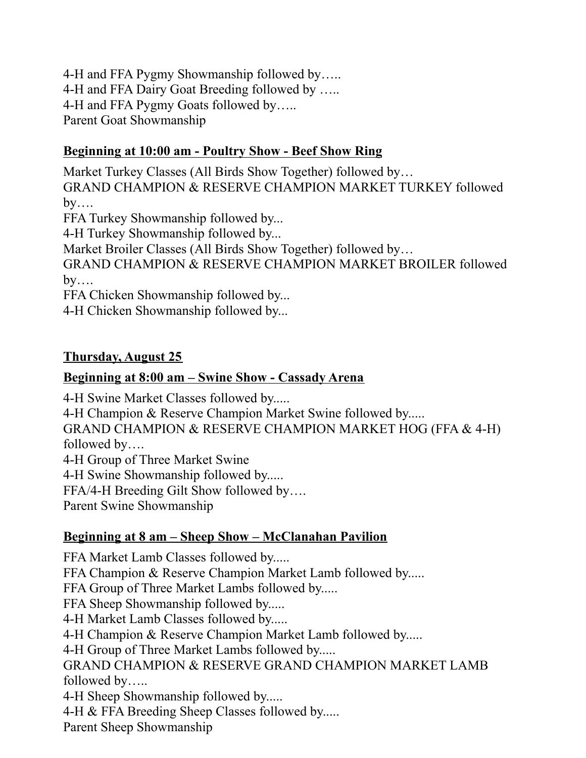4-H and FFA Pygmy Showmanship followed by….. 4-H and FFA Dairy Goat Breeding followed by ….. 4-H and FFA Pygmy Goats followed by….. Parent Goat Showmanship

#### **Beginning at 10:00 am - Poultry Show - Beef Show Ring**

Market Turkey Classes (All Birds Show Together) followed by… GRAND CHAMPION & RESERVE CHAMPION MARKET TURKEY followed  $by...$ FFA Turkey Showmanship followed by... 4-H Turkey Showmanship followed by...

Market Broiler Classes (All Birds Show Together) followed by…

GRAND CHAMPION & RESERVE CHAMPION MARKET BROILER followed  $by...$ 

FFA Chicken Showmanship followed by...

4-H Chicken Showmanship followed by...

#### **Thursday, August 25**

#### **Beginning at 8:00 am – Swine Show - Cassady Arena**

4-H Swine Market Classes followed by.....

4-H Champion & Reserve Champion Market Swine followed by.....

GRAND CHAMPION & RESERVE CHAMPION MARKET HOG (FFA & 4-H) followed by….

4-H Group of Three Market Swine

4-H Swine Showmanship followed by.....

FFA/4-H Breeding Gilt Show followed by….

Parent Swine Showmanship

## **Beginning at 8 am – Sheep Show – McClanahan Pavilion**

FFA Market Lamb Classes followed by..... FFA Champion & Reserve Champion Market Lamb followed by..... FFA Group of Three Market Lambs followed by..... FFA Sheep Showmanship followed by..... 4-H Market Lamb Classes followed by..... 4-H Champion & Reserve Champion Market Lamb followed by..... 4-H Group of Three Market Lambs followed by..... GRAND CHAMPION & RESERVE GRAND CHAMPION MARKET LAMB followed by….. 4-H Sheep Showmanship followed by..... 4-H & FFA Breeding Sheep Classes followed by..... Parent Sheep Showmanship